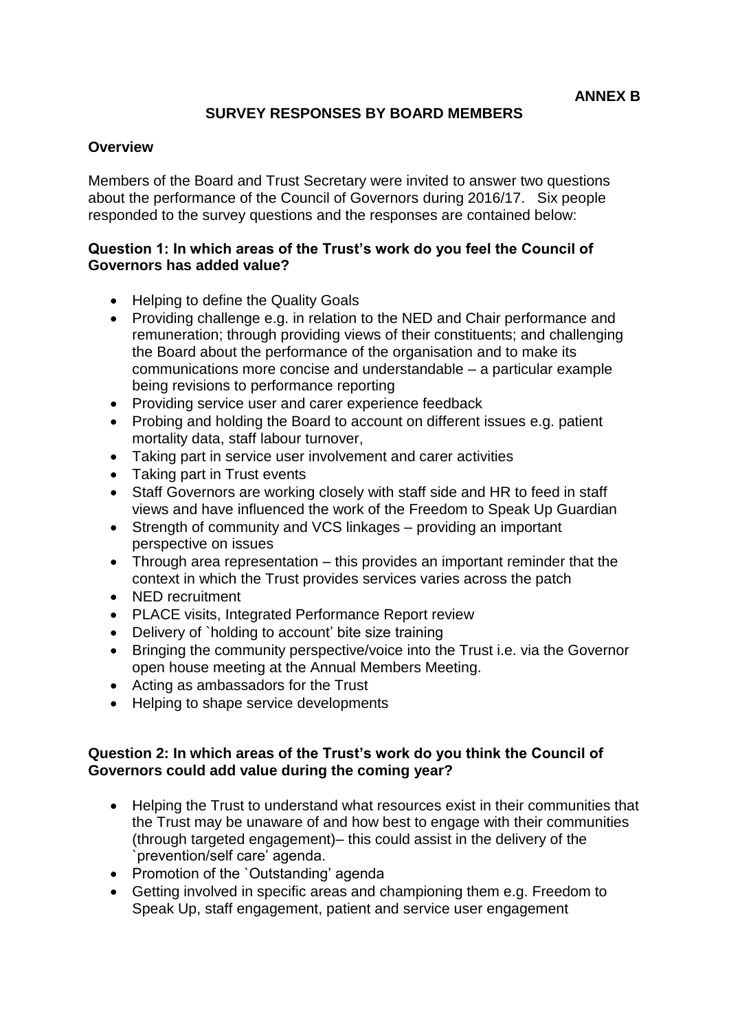## **SURVEY RESPONSES BY BOARD MEMBERS**

## **Overview**

Members of the Board and Trust Secretary were invited to answer two questions about the performance of the Council of Governors during 2016/17. Six people responded to the survey questions and the responses are contained below:

## **Question 1: In which areas of the Trust's work do you feel the Council of Governors has added value?**

- Helping to define the Quality Goals
- Providing challenge e.g. in relation to the NED and Chair performance and remuneration; through providing views of their constituents; and challenging the Board about the performance of the organisation and to make its communications more concise and understandable – a particular example being revisions to performance reporting
- Providing service user and carer experience feedback
- Probing and holding the Board to account on different issues e.g. patient mortality data, staff labour turnover,
- Taking part in service user involvement and carer activities
- Taking part in Trust events
- Staff Governors are working closely with staff side and HR to feed in staff views and have influenced the work of the Freedom to Speak Up Guardian
- Strength of community and VCS linkages providing an important perspective on issues
- Through area representation this provides an important reminder that the context in which the Trust provides services varies across the patch
- NED recruitment
- PLACE visits, Integrated Performance Report review
- Delivery of `holding to account' bite size training
- Bringing the community perspective/voice into the Trust i.e. via the Governor open house meeting at the Annual Members Meeting.
- Acting as ambassadors for the Trust
- Helping to shape service developments

## **Question 2: In which areas of the Trust's work do you think the Council of Governors could add value during the coming year?**

- Helping the Trust to understand what resources exist in their communities that the Trust may be unaware of and how best to engage with their communities (through targeted engagement)– this could assist in the delivery of the `prevention/self care' agenda.
- Promotion of the `Outstanding' agenda
- Getting involved in specific areas and championing them e.g. Freedom to Speak Up, staff engagement, patient and service user engagement